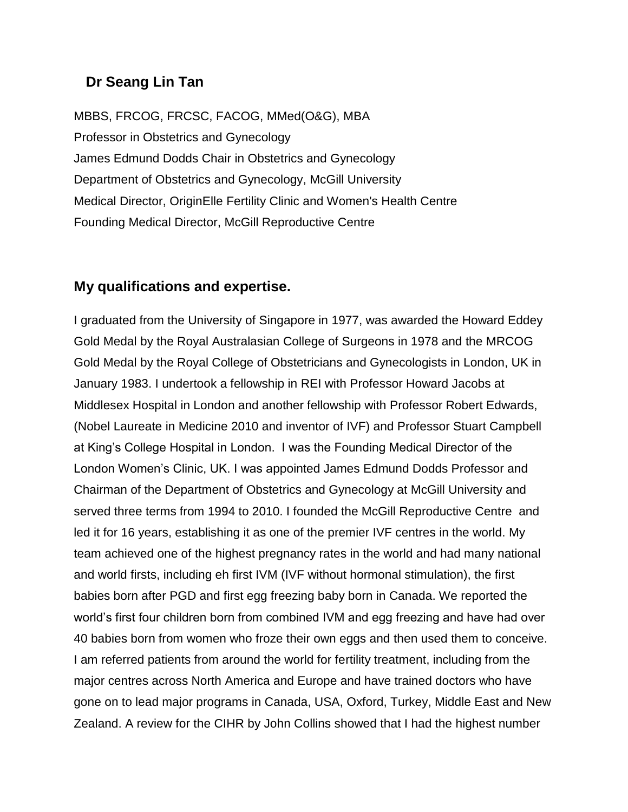## **Dr Seang Lin Tan**

MBBS, FRCOG, FRCSC, FACOG, MMed(O&G), MBA Professor in Obstetrics and Gynecology James Edmund Dodds Chair in Obstetrics and Gynecology Department of Obstetrics and Gynecology, McGill University Medical Director, OriginElle Fertility Clinic and Women's Health Centre Founding Medical Director, McGill Reproductive Centre

## **My qualifications and expertise.**

I graduated from the University of Singapore in 1977, was awarded the Howard Eddey Gold Medal by the Royal Australasian College of Surgeons in 1978 and the MRCOG Gold Medal by the Royal College of Obstetricians and Gynecologists in London, UK in January 1983. I undertook a fellowship in REI with Professor Howard Jacobs at Middlesex Hospital in London and another fellowship with Professor Robert Edwards, (Nobel Laureate in Medicine 2010 and inventor of IVF) and Professor Stuart Campbell at King's College Hospital in London. I was the Founding Medical Director of the London Women's Clinic, UK. I was appointed James Edmund Dodds Professor and Chairman of the Department of Obstetrics and Gynecology at McGill University and served three terms from 1994 to 2010. I founded the McGill Reproductive Centre and led it for 16 years, establishing it as one of the premier IVF centres in the world. My team achieved one of the highest pregnancy rates in the world and had many national and world firsts, including eh first IVM (IVF without hormonal stimulation), the first babies born after PGD and first egg freezing baby born in Canada. We reported the world's first four children born from combined IVM and egg freezing and have had over 40 babies born from women who froze their own eggs and then used them to conceive. I am referred patients from around the world for fertility treatment, including from the major centres across North America and Europe and have trained doctors who have gone on to lead major programs in Canada, USA, Oxford, Turkey, Middle East and New Zealand. A review for the CIHR by John Collins showed that I had the highest number